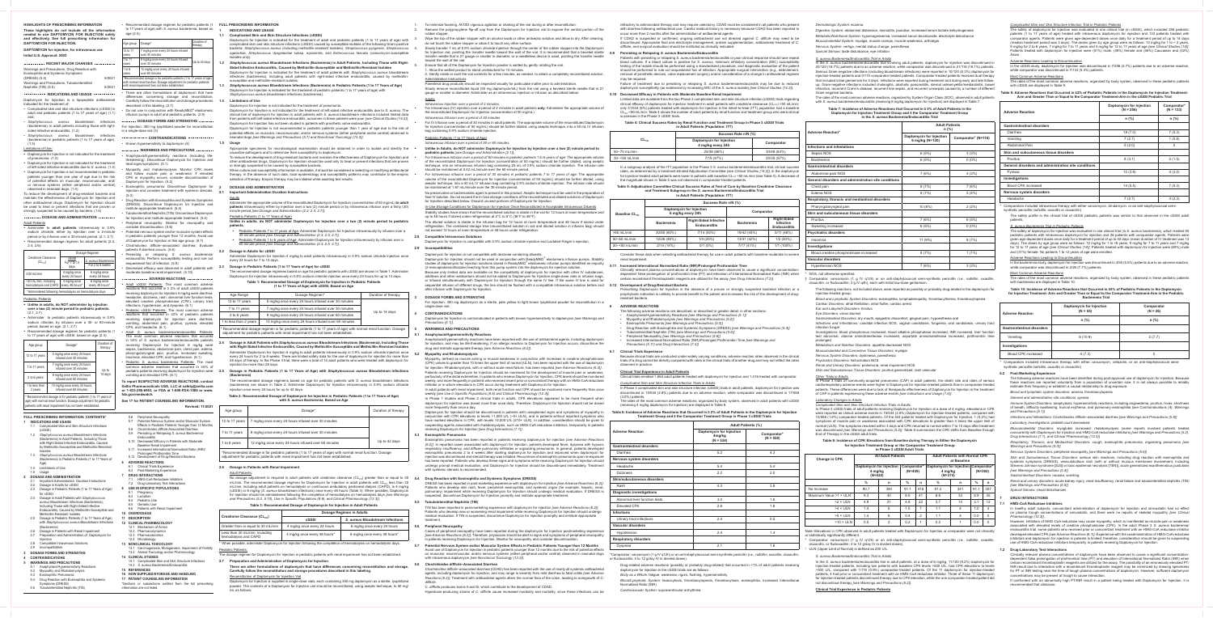**HIGHLIGHTS OF PRESCRIBING INFORMATION These highlights do not include all the information needed to use DAPTOMYCIN FOR INJECTION safely and effectively. See full prescribing information for DAPTOMYCIN FOR INJECTION.**

# **DAPTOMYCIN for injection, for intravenous use Initial U.S. Approval: 2003**

# Nephritis  $(TIN)$  (5.5) 5/2021  **INDICATIONS AND USAGE**

Daptomycin for Injection is a lipopeptide antibacterial indicated for the treatment of

| RECENT MAJOR CHANGES                                                               |        |
|------------------------------------------------------------------------------------|--------|
| Warnings and Precautions, Drug Reaction with<br>Eosinophilia and Systemic Symptoms |        |
| (DRESS) (5.4)                                                                      | 5/2021 |
| Warnings and Precautions, Tubulointerstitial                                       |        |

- Complicated skin and skin structure infections (cSSSI) in adult and pediatric patients (1 to 17 years of age) (1.1)
- and, • *Staphylococcus aureus* bloodstream infections
- sided infective endocarditis, (1.2) • *Staphylococcus aureus* bloodstream infections (bacteremia) in pediatric patients (1 to 17 years of age).

#### (1.3) Limitations of Use:

- **• Unlike in adults, do NOT administer by injection over a two (2) minute period to pediatric patients.**
- (2.1, 2.7) • Administer to pediatric patients intravenously in 0.9%
- sodium chloride, by infusion over a 30- or 60-minute period, based on age. (2.1, 2.7) Recommended dosage regimen for pediatric patients (1
- Daptomycin for Injection is not indicated for the treatment of pneumonia. (1.4)
- Daptomycin for Injection is not indicated for the treatment of left-sided infective endocarditis due to *S. aureus*. (1.4)
- Daptomycin for Injection is not recommended in pediatric patients younger than one year of age due to the risk of potential effects on muscular, neuromuscular, and/ or nervous systems (either peripheral and/or central) observed in neonatal dogs. (1.4)

To reduce the development of drug-resistant bacteria and maintain the effectiveness of Daptomycin for Injection and other antibacterial drugs, Daptomycin for Injection should be used to treat or prevent infections that are proven or strongly suspected to be caused by bacteria. (1.5)

# **DOSAGE AND ADMINISTRATION**

Adult Patients

• Administer to **adult patients** intravenously in 0.9% sodium chloride, either by injection over a 2-minute period or by infusion over a 30-minute period. (2.1, 2.7) • Recommended dosage regimen for adult patients (2.2,

# $2.4, 2.6$ :

|                                                            | Dosage Regimen                  |                                          |  |
|------------------------------------------------------------|---------------------------------|------------------------------------------|--|
| Creatinine Clearance<br>$(CL_{CP})$                        | cSSSI<br>For 7 to 14<br>days    | S. aureus Bacteremia<br>For 2 to 6 weeks |  |
| $\geq$ 30 mL/min                                           | 4 mg/kg once<br>every 24 hours  | 6 mg/kg once<br>every 24 hours           |  |
| <30 mL/min, including<br>hemodialysis and CAPD             | 4 mg/kg once<br>every 48 hours* | 6 mg/kg once<br>every 48 hours*          |  |
| *Administered following hemodialysis on hemodialysis days. |                                 |                                          |  |

# Pediatric Patients

(bacteremia), in adult patients including those with right-For Injection: 350 mg lyophilized powder for reconstitution in a single-dose vial (3)

| - Recommended dosage regimen for pediatric patients (T |
|--------------------------------------------------------|
| to 17 years of age) with cSSSI, based on age (2.3):    |

| Age group                                                        | Dosage*                                                 | Duration of<br>therapy |  |
|------------------------------------------------------------------|---------------------------------------------------------|------------------------|--|
| 12 to 17 years                                                   | 5 mg/kg once every 24 hours<br>infused over 30 minutes  |                        |  |
| 7 to 11 years                                                    | 7 mg/kg once every 24 hours<br>infused over 30 minutes  | Up to                  |  |
| 2 to 6 years                                                     | 9 mg/kg once every 24 hours<br>infused over 60 minutes  | 14 days                |  |
| 1 to less than<br>2 years                                        | 10 mg/kg once every 24 hours<br>infused over 60 minutes |                        |  |
| * Recommended dosage is for pediatric patients (1 to 17 years of |                                                         |                        |  |

age) with normal renal function. Dosage adjustment for pediatric patients with renal impairment has not been established.

• Recommended dosage regimen for pediatric patients (1 **FULL PRESCRIBING INFORMATION** to 17 years of age) with *S. aureus* bacteremia, based on **1 INDICATIONS AND USAGE** age (2.5):

| Age group                                                                                                                                                                                       | Dosage*                                                 | Duration of<br>therapy |
|-------------------------------------------------------------------------------------------------------------------------------------------------------------------------------------------------|---------------------------------------------------------|------------------------|
| 12 to 17<br>vears                                                                                                                                                                               | 7 mg/kg once every 24 hours infused<br>over 30 minutes  |                        |
| 7 to 11<br>years                                                                                                                                                                                | 9 mg/kg once every 24 hours infused<br>over 30 minutes  | Up to 42 days          |
| 1 to 6<br>vears                                                                                                                                                                                 | 12 mg/kg once every 24 hours infused<br>over 60 minutes |                        |
| *Recommended dosage is for pediatric patients (1 to 17 years of age)<br>with normal renal function. Dosage adjustment for pediatric patients<br>with renal impairment has not been established. |                                                         |                        |

Slowly transfer 7 mL of 0.9% sodium chloride injection through the center of the rubber stopper into the Daptomycin for Injection vial, pointing the transfer needle toward the wall of the vial. It is recommended that a beveled sterile **5.9 Persisting or Relapsing** *S. aureus* **Bacteremia/Endocarditis** transfer needle that is 21 gauge or smaller in diameter, or a needleless device is used, pointing the transfer needle toward the wall of the vial.

described in this labeling. (2.7) • Do not use in conjunction with ReadyMED® elastomeric infusion pumps in adult and pediatric patients. (2.9)

 **DOSAGE FORMS AND STRENGTHS** 

#### <u>Adults</u> *Intravenous Injection over a period of 2 minutes*

 **CONTRAINDICATIONS** 

*• For Intravenous infusion over a period of 30 minutes in pediatric patients 7 to 17 years of age*: The appropriate volume of the reconstituted Daptomycin for Injection (concentration of 50 mg/mL) should be further diluted, using aseptic technique, into a 50 mL IV infusion bag containing 0.9% sodium chloride injection. The infusion rate should be maintained at 1.67 mL/minute over the 30-minute perio

- Known hypersensitivity to daptomycin (4)
- **WARNINGS AND PRECAUTIONS**  • Anaphylaxis/hypersensitivity reactions (including lifethreatening): Discontinue Daptomycin for Injection and
- treat signs/symptoms. (5.1) • Myopathy and rhabdomyolysis: Monitor CPK levels
- and follow muscle pain or weakness; if elevated CPK or myopathy occurs, consider discontinuation of Daptomycin for Injection. (5.2)
- Eosinophilic pneumonia: Discontinue Daptomycin for **2 DOSAGE AND ADMINISTRATION** Injection and consider treatment with systemic steroids. (5.3) **2.1 Important Administration Duration Instructions**
- Drug Reaction with Eosinophilia and Systemic Symptoms (DRESS): Discontinue Daptomycin for Injection and
- institute appropriate treatment. (5.4) • Tubulointerstitial Nephritis (TIN): Discontinue Daptomycin
- for Injection and institute appropriate treatment. (5.5) • Peripheral neuropathy: Monitor for neuropathy and consider discontinuation. (5.6)
- Potential nervous system and/or muscular system effects in pediatric patients younger than 12 months: Avoid use
- of Daptomycin for Injection in this age group. (5.7) • *Clostridioides difficile*–associated diarrhea: Evaluate
- patients if diarrhea occurs. (5.8) • Persisting or relapsing *S. aureus* bacteremia/ endocarditis: Perform susceptibility testing and rule out

Stability studies have shown that the reconstituted solution is stable in the vial for 12 hours at room temperature and up to 48 hours if stored under refrigeration at 2°C to 8°C (36°F to 46°F).

sequestered foci of infection. (5.9) • Decreased efficacy was observed in adult patients with

# moderate baseline renal impairment. (5.10)

- **ADVERSE REACTIONS**  • Adult cSSSI Patients: The most common adverse reactions that occurred in ≥ 2% of adult cSSSI patients receiving daptomycin for injection 4 mg/kg were diarrhea, headache, dizziness, rash, abnormal liver function tests, elevated creatine phosphokinase (CPK), urinary tract infections, hypotension, and dyspnea. (6.1)
- Pediatric cSSSI Patients: The most common adverse reactions that occurred in ≥2% of pediatric patients receiving daptomycin for injection were diarrhea vomiting, abdominal pain, pruritus, pyrexia, elevated CPK, and headache. (6.1)

• Adult *S. aureus* bacteremia/endocarditis Patients: The most common adverse reactions that occurred in ≥5% of *S. aureus* bacteremia/endocarditis patients receiving Daptomycin for Injection 6 mg/kg were sepsis, bacteremia, abdominal pain, chest pain, edema, pharyngolaryngeal pain, pruritus, increased sweating, insomnia, elevated CPK, and hypertension. (6.1)

- Pediatric *S. aureus* bacteremia Patients: The most common adverse reactions that occurred in ≥5% of pediatric patients receiving daptomycin for injection were 2.5 vomiting and elevated CPK. (6.1)
- **To report SUSPECTED ADVERSE REACTIONS, contact Xellia Pharmaceuticals USA, LLC at safety@xellia.com or 1-833-295-6953, or FDA at 1-800-FDA-1088 or www.**

**fda.gov/medwatch.**

**See 17 for PATIENT COUNSELING INFORMATION.**

**Revised: 11/2021**

In Phase 1 studies and Phase 2 clinical trials in adults, CPK elevations appeared to be more frequent when daptomycin for injection was dosed more than once daily. Therefore, Daptomycin for Injection should not be dosed more frequently than once a day.

Eosinophilic pneumonia has been reported in patients receiving daptomycin for injection *[see Adverse Reactions (6.2)]*. In reported cases associated with daptomycin for injection, patients developed fever, dyspnea with hypoxic respiratory insufficiency, and diffuse pulmonary infiltrates or organizing pneumonia. In general, patients developed eosinophilic pneumonia 2 to 4 weeks after starting daptomycin for injection and improved when daptomycin for injection was discontinued and steroid therapy was initiated. Recurrence of eosinophilic pneumonia upon re-exposure has been reported. Patients who develop these signs and symptoms while receiving Daptomycin for Injection should undergo prompt medical evaluation, and Daptomycin for Injection should be discontinued immediately. Treatment with systemic steroids is recommended.

## No dosage adjustment is required in adult patients with creatinine clearance (CL<sub>cR</sub>) greater than or equal to 30 **5.4 Drug Reaction with Eosinophilia and Systemic Symptoms (DRESS)**

3. Wipe the top of the rubber stopper with an alcohol swab or other antiseptic solution and allow to dry. After cleaning, do not touch the rubber stopper or allow it to touch any other surface.

5. Ensure that all of the Daptomycin for Injection powder is wetted by gently rotating the vial.

1. Allow the wetted product to stand undisturbed for 10 minutes. 2. Gently rotate or swirl the vial contents for a few minutes, as needed, to obtain a completely reconstituted solution.

Administration Instructions Parenteral drug products should be inspected visually for particulate matter prior to administration.

Slowly remove reconstituted liquid (50 mg daptomycin/mL) from the vial using a beveled sterile needle that is 21 gauge or smaller in diameter. Administer as an intravenous injection or infusion as described below:

• For intravenous (IV) injection over a period of 2 minutes in adult patients **only**: Administer the appropriate volume of the reconstituted Daptomycin for Injection (concentration of 50 mg/mL). *Intravenous Infusion over a period of 30 minutes*

• For IV infusion over a period of 30 minutes in adult patients: The appropriate volume of the reconstituted Daptomycin

refractory to antimicrobial therapy and may require colectomy. CDAD must be considered in all patients who present with diarrhea following antibacterial use. Careful medical history is necessary because CDAD has been reported to cur more than 2 months after the administration of antibacterial agents.

for Injection (concentration of 50 mg/mL) should be further diluted, using aseptic technique, into a 50 mL IV infusion bag containing 0.9% sodium chloride injection.

Pediatric Patients (1 to 17 Years of Age)

*Intravenous Infusion over a period of 30 or 60 minutes*

#### **• Unlike in Adults, do NOT administer Daptomycin for Injection by injection over a two (2) minute period to pediatric patients** [*see Dosage and Administration (2.1)*]**.**

*• For Intravenous infusion over a period of 60 minutes in pediatric patients 1 to 6 years of age:* The appropriate volume of the reconstituted Daptomycin for Injection (concentration of 50 mg/mL) should be further diluted, using aseptic technique, into an intravenous infusion bag containing 25 mL of 0.9% sodium chloride injection. The infusion rate should be maintained at 0.42 mL/minute over the 60-minute period.

No preservative or bacteriostatic agent is present in this product. Aseptic technique must be used in the preparation of final IV solution. Do not exceed the In-Use storage conditions of the reconstituted and diluted solutions of Daptomycin for Injection described below. Discard unused portions of Daptomycin for Injection.

# In-Use Storage Conditions for Daptomycin for Injection Once Reconstituted in Acceptable Intravenous Diluents

inically relevant plasma concentrations of daptomycin have been observed to cause a significant concentrationdependent false prolongation of prothrombin time (PT) and elevation of International Normalized Ratio (INR) when certain recombinant thromboplastin reagents are utilized for the assay *[see Drug Interactions (7.2)]*.

Daptomycin for Injection should not be used in conjunction with ReadyMED® elastomeric infusion pumps. Stability studies of daptomycin for injection solutions stored in ReadyMED $^\circ$  elastomeric infusion pumps identified an impurity (2-mercaptobenzothiazole) leaching from this pump system into the daptomycin for injection solution. Because only limited data are available on the compatibility of daptomycin for injection with other IV substances, additives and other medications should not be added to Daptomycin for Injection single-dose vials or infusion bags, or infused simultaneously with Daptomycin for Injection through the same IV line. If the same IV line is used for sequential infusion of different drugs, the line should be flushed with a compatible intravenous solution before and **5.12 Development of Drug-Resistant Bacteria**

Prescribing Daptomycin for Injection in the absence of a proven or strongly suspected bacterial infection or a prophylactic indication is unlikely to provide benefit to the patient and increases the risk of the development of drugesistant bacteria

The diluted solution is stable in the infusion bag for 12 hours at room temperature and 48 hours if stored under refrigeration. The combined storage time (reconstituted solution in vial and diluted solution in infusion bag) should not exceed 12 hours at room temperature or 48 hours under refrigeration.

# **2.8 Compatible Intravenous Solutions**

Daptomycin for Injection is compatible with 0.9% sodium chloride injection and Lactated Ringer's injection.

# **2.9 Incompatibilities**

# Daptomycin for injection is not compatible with dextrose-containing diluents.

after infusion with Daptomycin for Injection.

## **3 DOSAGE FORMS AND STRENGTHS**

on muscular, neuromuscular, and/or nervous systems (either peripheral and/or central) observed in neonatal dogs \*Comparator: vancomycin (1 g IV q12h) or an anti-staphylococcal semi-synthetic penicillin (i.e., nafcillin, ox or flucloxacillin; 4 to 12 g/day IV in divided doses).

For Injection: 350 mg daptomycin as a sterile, pale yellow to light brown lyophilized powder for reconstitution in a single-dose vial.

## **4 CONTRAINDICATIONS**

Daptomycin for Injection is contraindicated in patients with known hypersensitivity to daptomycin *[see Warnings and Precautions (5.1)]*.

# **5 WARNINGS AND PRECAUTIONS**

# **5.1 Anaphylaxis/Hypersensitivity Reactions**

Anaphylaxis/hypersensitivity reactions have been reported with the use of antibacterial agents, including daptomycin for injection, and may be life-threatening. If an allergic reaction to Daptomycin for Injection occurs, discontinue the drug and institute appropriate therapy *[see Adverse Reactions (6.2)]*.

# **5.2 Myopathy and Rhabdomyolysis**

The rates of the most common adverse reactions, organized by System Organ Class (SOC), observed in adult patients with *S. aureus* bacteremia/endocarditis (receiving 6 mg/kg daptomycin for injection) are displayed in Table 7.

Myopathy, defined as muscle aching or muscle weakness in conjunction with increases in creatine phosphokinase (CPK) values to greater than 10 times the upper limit of normal (ULN), has been reported with the use of daptomycin for injection. Rhabdomyolysis, with or without acute renal failure, has been reported *[see Adverse Reactions (6.2)]*. Patients receiving Daptomycin for Injection should be monitored for the development of muscle pain or weakness particularly of the distal extremities. In patients who receive Daptomycin for Injection, CPK levels should be monitored weekly, and more frequently in patients who received recent prior or concomitant therapy with an HMG-CoA reductase inhibitor or in whom elevations in CPK occur during treatment with Daptomycin for Injection.

**Investigations** Blood creatine pho

Hypertension NOS \* NOS, not otherwise specified.

In adult patients with renal impairment, both renal function and CPK should be monitored more frequently than once weekly *[see Use in Specific Populations (8.6) and Clinical Pharmacology (12.3)].*

Daptomycin for Injection should be discontinued in patients with unexplained signs and symptoms of myopathy in conjunction with CPK elevations to levels >1,000 U/L (~5× ULN), and in patients without reported symptoms who have marked elevations in CPK, with levels >2,000 U/L (≥10× ULN). In addition, consideration should be given t suspending agents associated with rhabdomyolysis, such as HMG-CoA reductase inhibitors, temporarily in patients receiving Daptomycin for Injection *[see Drug Interactions (7.1)]*.

#### **5.3 Eosinophilic Pneumonia**

DRESS has been reported in post-marketing experience with daptomycin for injection *[see Adverse Reactions (6.2)]*. Patients who develop skin rash, fever, peripheral eosinophilia, and systemic organ (for example, hepatic, rena pulmonary) impairment while receiving Daptomycin for Injection should undergo medical evaluation. If DRESS is suspected, discontinue Daptomycin for Injection promptly and institute appropriate treatment.

#### **5.5 Tubulointerstitial Nephritis (TIN)**

TIN has been reported in post-marketing experience with daptomycin for injection *[see Adverse Reactions (6.2)]*. Patients who develop new or worsening renal impairment while receiving Daptomycin for Injection should undergo medical evaluation. If TIN is suspected, discontinue Daptomycin for Injection promptly and institute appropriate treatment.

# **5.6 Peripheral Neuropathy**

Cases of peripheral neuropathy have been reported during the daptomycin for injection postmarketing experience *[see Adverse Reactions (6.2)]*. Therefore, physicians should be alert to signs and symptoms of peripheral neuropathy in patients receiving Daptomycin for Injection. Monitor for neuropathy and consider discontinuation.

**5.7 Potential Nervous System and/or Muscular System Effects in Pediatric Patients Younger than 12 Months** Avoid use of Daptomycin for Injection in pediatric patients younger than 12 months due to the risk of potential effects with intravenous daptomycin *[see Nonclinical Toxicology (13.2)]*.

#### **5.8** *Clostridioides difficile***–Associated Diarrhea**

*Clostridioides difficile*–associated diarrhea (CDAD) has been reported with the use of nearly all systemic antibacterial agents, including daptomycin for injection, and may range in severity from mild diarrhea to fatal colitis *[see Adverse Reactions (6.2)]*. Treatment with antibacterial agents alters the normal flora of the colon, leading to overgrowth of *C. difficile*.

*C. difficile* produces toxins A and B, which contribute to the development of CDAD.

Hypertoxin-producing strains of *C. difficile* cause increased morbidity and mortality, since these infections can be

*Infections and Infestations*: *Clostridioides difficile*–associated diarrhea *[see Warnings and Precautions (5.8)]* Laboratory Investigations: platelet count decrease

If CDAD is suspected or confirmed, ongoing antibacterial use not directed against *C. difficile* may need to be discontinued. Appropriate fluid and electrolyte management, protein supplementation, antibacterial treatment of *C. difficile*, and surgical evaluation should be instituted as clinically indicated.

Patients with persisting or relapsing *S. aureus* bacteremia/endocarditis or poor clinical response should have repeat blood cultures. If a blood culture is positive for *S. aureus*, minimum inhibitory concentration (MIC) susceptibility testing of the isolate should be performed using a standardized procedure, and diagnostic evaluation of the patient should be performed to rule out sequestered foci of infection. Appropriate surgical intervention (e.g., debridement, removal of prosthetic devices, valve replacement surgery) and/or consideration of a change in antibacterial regimen may be required.

Failure of treatment due to persisting or relapsing *S. aureus* bacteremia/endocarditis may be due to reduced daptomycin susceptibility (as evidenced by increasing MIC of the *S. aureus* isolate) *[see Clinical Studies (14.2)]*.

> However, inhibitors of HMG-CoA reductase may cause myopathy, which is manifested as muscle pain or weakness associated with elevated levels of creatine phosphokinase (CPK). In the adult Phase 3 *S. aureus* bacteremia/ endocarditis trial, some patients who received prior or concomitant treatment with an HMG-CoA reductase inhibitor developed elevated CPK *[see Adverse Reactions (6.1)]*. Experience with the coadministration of HMG-CoA reductase inhibitors and daptomycin for injection in patients is limited; therefore, consideration should be given to suspending use of HMG-CoA reductase inhibitors temporarily in patients receiving Daptomycin for Injection.

# **5.10 Decreased Efficacy in Patients with Moderate Baseline Renal Impairment**

Limited data are available from the two Phase 3 complicated skin and skin structure infection (cSSSI) trials regarding clinical efficacy of daptomycin for injection treatment in adult patients with creatinine clearance (CL<sub>CR</sub>) <50 mL/min; only 31/534 (6%) patients treated with daptomycin for injection in the intent-to-treat (ITT) population had a baseline  $CL_{CR}$ <50 mL/min. Table 4 shows the number of adult patients by renal function and treatment group who were clinical successes in the Phase 3 cSSSI trials.

#### **Table 4: Clinical Success Rates by Renal Function and Treatment Group in Phase 3 cSSSI Trials in Adult Patients (Population: ITT)**

In a subgroup analysis of the ITT population in the Phase 3 *S. aureus* bacteremia/endocarditis trial, clinical success rates, as determined by a treatment-blinded Adjudication Committee *[see Clinical Studies (14.2)]*, in the daptomycin for injection-treated adult patients were lower in patients with baseline  $CL_{cs}$  <50 mL/min (see Table 5). A decrease of the magnitude shown in Table 5 was not observed in comparator-treated patients.

- 
- 5.6 Peripheral Neuropathy 5.7 Potential Nervous System and/or Muscular System
- Effects in Pediatric Patients Younger than 12 Months 5.8 *Clostridioides difficile*-Associated Diarrhea
- 5.9 Persisting or Relapsing *S. aureus* Bacteremia/ Endocarditis
- 5.10 Decreased Efficacy in Patients with Moderate
- Baseline Renal Impairment 5.11 Increased International Normalized Ratio (INR)/
- Prolonged Prothrombin Time 5.12 Development of Drug-Resistant Bacteria
- **6 ADVERSE REACTIONS**
- 6.1 Clinical Trials Experience 6.2 Post-Marketing Experience
- **7 DRUG INTERACTIONS**
- HMG-CoA Reductase Inhibitors
- 7.2 Drug-Laboratory Test Interactions **8 USE IN SPECIFIC POPULATIONS**
- Pregnancy

#### **Table 5: Adjudication Committee Clinical Success Rates at Test of Cure by Baseline Creatinine Clearance and Treatment Subgroup in the** *S. aureus* **Bacteremia/Endocarditis Trial in Adult Patients (Population: ITT)**

|                           |                                               | Success Rate n/N (%)                                |                   |                                                               |
|---------------------------|-----------------------------------------------|-----------------------------------------------------|-------------------|---------------------------------------------------------------|
| Baseline CL <sub>cp</sub> | Daptomycin for Injection<br>6 mg/kg every 24h |                                                     | Comparator        |                                                               |
|                           | <b>Bacteremia</b>                             | <b>Right-Sided Infective</b><br><b>Endocarditis</b> | <b>Bacteremia</b> | <b>Right-Sided</b><br><b>Infective</b><br><b>Endocarditis</b> |
| $>80$ mL/min              | 30/50 (60%)                                   | 7/14 (50%)                                          | 19/42 (45%)       | 5/11(46%)                                                     |
| 50-80 mL/min              | 12/26 (46%)                                   | 1/4(25%)                                            | 13/31 (42%)       | 1/2(50%)                                                      |
| $30 - 50$ mL/min          | 2/14(14%)                                     | $0/1$ (0%)                                          | 7/17(41%)         | 1/1 (100%)                                                    |

- 8.2 Lactation
- 8.4 Pediatric Use
- 8.5 Geriatric Use 8.6 Patients with Renal Impairment
- **10 OVERDOSAGE 11 DESCRIPTION**
- **12 CLINICAL PHARMACOLOGY**
- 12.1 Mechanism of Action 12.2 Pharmacodynamics
- 12.3 Pharmacokinetics 12.4 Microbiology
- **13 NONCLINICAL TOXICOLOGY**
- 13.1 Carcinogenesis, Mutagenesis, Impairment of Fertility 13.2 Animal Toxicology and/or Pharmacology **14 CLINICAL STUDIES**
- 14.1 Complicated Skin and Skin Structure Infections
- 14.2 *S. aureus* Bacteremia/Endocarditis **15 REFERENCES**
- 
- **16 HOW SUPPLIED/STORAGE AND HANDLING 17 PATIENT COUNSELING INFORMATION**

Consider these data when selecting antibacterial therapy for use in adult patients with baseline moderate to severe renal impairment.

# **5.11 Increased International Normalized Ratio (INR)/Prolonged Prothrombin Time**

#### **6 ADVERSE REACTIONS**

The following adverse reactions are described, or described in greater detail, in other sections:

To reduce the development of drug-resistant bacteria and maintain the effectiveness of Daptomycin for Injection and other antibacterial drugs, Daptomycin for Injection should be used only to treat or prevent infections that are proven

- Anaphylaxis/Hypersensitivity Reactions *[see Warnings and Precautions (5.1)]*
- Myopathy and Rhabdomyolysis *[see Warnings and Precautions (5.2)]* • Eosinophilic Pneumonia *[see Warnings and Precautions (5.3)]*
- Drug Reaction with Eosinophilia and Systemic Symptoms (DRESS) *[see Warnings and Precautions (5.4)]* • Tubulointerstitial Nephritis (TIN) *[see Warnings and Precautions (5.5)]*
- Peripheral Neuropathy *[see Warnings and Precautions (5.6)]* • Increased International Normalized Ratio (INR)/Prolonged Prothrombin Time *[see Warnings and Precautions (5.11) and Drug Interactions (7.2)]*

When culture and susceptibility information is available, it should be considered in selecting or modifying antibacterial therapy. In the absence of such data, local epidemiology and susceptibility patterns may contribute to the empiric  $\bullet$ 

#### **6.1 Clinical Trials Experience**

Because clinical trials are conducted under widely varying conditions, adverse reaction rates observed in the clinical trials of a drug cannot be directly compared with rates in the clinical trials of another drug and may not reflect the rates

observed in practice.

# **Clinical Trial Experience in Adult Patients**

Clinical trials enrolled 1,864 adult patients treated with daptomycin for injection and 1,416 treated with comparator.

The recommended dosage regimens based on age for pediatric patients with cSSSI are shown in Table 1. Administer Daptomycin for Injection intravenously in 0.9% sodium chloride injection once every 24 hours for up to 14 days. **Table 1: Recommended Dosage of Daptomycin for Injection in Pediatric Patients (1 to 17 Years of Age) with cSSSI, Based on Age** Age Range **No. 2. In the Contract Contract Contract Contract Contract Contract Contract Contract Contract Contract Contract Contract Contract Contract Contract Contract Contract Domain Dosage Regiment<sup>\*</sup>** 

7 to 11 years 7 mg/kg once every 24 hours infused over 30 minutes Up to 14 days<br>2 to 6 years 9 mg/kg once every 24 hours infused over 60 minutes 9 mg/kg once every 24 hours infused over 60 minutes

Recommended dosage regimen is for pediatric patients (1 to 17 years of age) with normal renal function. Dosage

*Complicated Skin and Skin Structure Infection Trials in Adults* In Phase 3 complicated skin and skin structure infection (cSSSI) trials in adult patients, daptomycin for injection was

|                | Success Rate n/N (%)     | <b>Adverse Reaction*</b> |                     |
|----------------|--------------------------|--------------------------|---------------------|
| $CL_{CR}$      | Daptomycin for Injection | Comparator               |                     |
|                | 4 mg/kg every 24h        |                          | Infections and infe |
| $50-70$ mL/min | 25/38 (66%)              | 30/48 (63%)              | Sepsis NOS          |
| 30–<50 mL/min  | 7/15(47%)                | 20/35 (57%)              | Bacteremia          |

discontinued in 15/534 (2.8%) patients due to an adverse reaction, while comparator was discontinued in 17/558 (3.0%) patients. The rates of the most common adverse reactions, organized by body system, observed in adult patients with cSSSI

(receiving 4 mg/kg daptomycin for injection) are displayed in Table 6.

• There are other formulations of daptomycin that have differences concerning storage and reconstitution. Carefully follow the reconstitution and storage procedures **1.4 Limitations of Use**

> **Table 6: Incidence of Adverse Reactions that Occurred in ≥ 2% of Adult Patients in the Daptomycin for Injection Treatment Group and ≥ the Comparator Treatment Group in Phase 3 cSSSI Trials**

|                                   | <b>Adult Patients (%)</b>                         |                            |  |  |  |
|-----------------------------------|---------------------------------------------------|----------------------------|--|--|--|
| <b>Adverse Reaction</b>           | Daptomycin for Injection<br>4mg/kg<br>$(N = 534)$ | Comparator*<br>$(N = 558)$ |  |  |  |
| <b>Gastrointestinal disorders</b> |                                                   |                            |  |  |  |
| Diarrhea                          | 5.2                                               | 4.3                        |  |  |  |
| Nervous system disorders          |                                                   |                            |  |  |  |
| Headache                          | 5.4                                               | 5.4                        |  |  |  |
| <b>Dizziness</b>                  | 2.2                                               | 2.0                        |  |  |  |
| Skin/subcutaneous disorders       |                                                   |                            |  |  |  |
| Rash                              | 4.3                                               | 3.8                        |  |  |  |
| <b>Diagnostic investigations</b>  |                                                   |                            |  |  |  |
| Abnormal liver function tests     | 3.0                                               | 1.6                        |  |  |  |
| <b>Elevated CPK</b>               | 2.8                                               | 1.8                        |  |  |  |
| <b>Infections</b>                 |                                                   |                            |  |  |  |
| Urinary tract infections          | 2.4                                               | 0.5                        |  |  |  |
| Vascular disorders                |                                                   |                            |  |  |  |
| Hypotension                       | 2.4                                               | 1.4                        |  |  |  |
| <b>Respiratory disorders</b>      |                                                   |                            |  |  |  |
| Dyspnea                           | 2.1                                               | 1.6                        |  |  |  |

Drug-related adverse reactions (possibly or probably drug-related) that occurred in <1% of adult patients receiving daptomycin for injection in the cSSSI trials are as follows:

mL/min. The recommended dosage regimen for Daptomycin for Injection in adult patients with CL<sub>ce</sub> less than 30 mL/min, including adult patients on hemodialysis or continuous ambulatory peritoneal dialysis (CAPD), is 4 mg/kg (cSSSI) or 6 mg/kg (*S. aureus* bloodstream infections) once every 48 hours (Table 3). When possible, Daptomycin for Injection should be administered following the completion of hemodialysis on hemodialysis days *[see Warnings* 

*Body as a Whole:* fatigue, weakness, rigors, flushing, hypersensitivity

*Blood/Lymphatic System:* leukocytosis, thrombocytopenia, thrombocytosis, eosinophilia, increased International Normalized Ratio (INR)

hemodialysis and CAPD 4 mg/kg once every 48 hours\* 6 mg/kg once every 48 hours\* Yhen possible, administer Daptomycin for Injection following the completion of hemodialysis on hemodialysis days.

*Cardiovascular System:* supraventricular arrhythmia

*Dermatologic System:* eczema *Digestive System:* abdominal distension, stomatitis, jaundice, increased serum lactate dehydrogenase *Metabolic/Nutritional System:* hypomagnesemia, increased serum bicarbonate, electrolyte disturbance *Musculoskeletal System:* myalgia, muscle cramps, muscle weakness, arthralgia *Nervous System:* vertigo, mental status change, paresthesia

*Special Senses:* taste disturbance, eye irritation

*S. aureus Bacteremia/Endocarditis Trial in Adults*

In the *S. aureus* bacteremia/endocarditis trial involving adult patients, daptomycin for injection was discontinued in 20/120 (16.7%) patients due to an adverse reaction, while comparator was discontinued in 21/116 (18.1%) patients. Serious Gram-negative infections (including bloodstream infections) were reported in 10/120 (8.3%) daptomycin for injection-treated patients and 0/115 comparator-treated patients. Comparator-treated patients received dual therapy that included initial gentamicin for 4 days. Infections were reported during treatment and during early and late followup. Gram-negative infections included cholangitis, alcoholic pancreatitis, sternal osteomyelitis/mediastinitis, bowel infarction, recurrent Crohn's disease, recurrent line sepsis, and recurrent urosepsis caused by a number of different

# Gram-negative bacteria.

# **Inferibene Gastrointestinal di** Abdominal pain NO **General disorders** Edema NOS **Respiratory, thorac**

Pharyngolaryngea **Skin and subcutane** 

Sweating increase **Psychiatric disorder** 

**Table 7: Incidence of Adverse Reactions that Occurred in ≥ 5% of Adult Patients in the Daptomycin for Injection Treatment Group and ≥ the Comparator Treatment Group**

**in the** *S. aureus* **Bacteremia/Endocarditis Trial**

| dverse Reaction*                                    | <b>Adult Patients</b><br>$n$ (%)            |                                 |  |
|-----------------------------------------------------|---------------------------------------------|---------------------------------|--|
|                                                     | Daptomycin for Injection<br>6 mg/kg (N=120) | Comparator <sup>†</sup> (N=116) |  |
| fections and infestations                           |                                             |                                 |  |
| Sepsis NOS                                          | 6(5%)                                       | 3(3%)                           |  |
| <b>Bacteremia</b>                                   | 6(5%)                                       | $0(0\%)$                        |  |
| astrointestinal disorders                           |                                             |                                 |  |
| Abdominal pain NOS                                  | 7(6%)                                       | 4(3%)                           |  |
| eneral disorders and administration site conditions |                                             |                                 |  |
| Chest pain                                          | 8(7%)                                       | 7(6%)                           |  |
| Edema NOS                                           | 8(7%)                                       | 5(4%)                           |  |
| espiratory, thoracic and mediastinal disorders      |                                             |                                 |  |
| Pharyngolaryngeal pain                              | 10 (8%)                                     | 2(2%)                           |  |
| cin and subcutaneous tissue disorders               |                                             |                                 |  |
| Pruritus                                            | 7(6%)                                       | 6(5%)                           |  |
| Sweating increased                                  | 6(5%)                                       | $0(0\%)$                        |  |
| sychiatric disorders                                |                                             |                                 |  |
| Insomnia                                            | 11(9%)                                      | 8(7%)                           |  |
| vestigations                                        |                                             |                                 |  |
| Blood creatine phosphokinase increased              | 8(7%)                                       | $1(1\%)$                        |  |
| <b>iscular disorders</b>                            |                                             |                                 |  |
| <b>Hypertension NOS</b>                             | 7(6%)                                       | 3(3%)                           |  |

# **Vascular disorders**

† Comparator: vancomycin (1 g IV q12h) or an anti-staphylococcal semi-synthetic penicillin (i.e., nafcillin, oxacillin,

cloxacillin, or flucloxacillin; 2 g IV q4h), each with initial low-dose gentamicin. The following reactions, not included above, were reported as possibly or probably drug-related in the daptomycin for injection-treated group: *Blood and Lymphatic System Disorders:* eosinophilia, lymphadenopathy, thrombocythemia, thrombocytopenia *Cardiac Disorders:* atrial fibrillation, atrial flutter, cardiac arrest *Ear and Labyrinth Disorders:* tinnitus *Eye Disorders:* vision blurred *Gastrointestinal Disorders:* dry mouth, epigastric discomfort, gingival pain, hypoesthesia oral *Infections and Infestations:* candidal infection NOS, vaginal candidiasis, fungemia, oral candidiasis, urinary tract infection fungal *Investigations:* blood phosphorous increased, blood alkaline phosphatase increased, INR increased, liver function test abnormal, alanine aminotransferase increased, aspartate aminotransferase increased, prothrombin time

prolonged *Metabolism and Nutrition Disorders:* appetite decreased NOS *Musculoskeletal and Connective Tissue Disorders:* myalgia *Nervous System Disorders:* dyskinesia, paresthesia *Psychiatric Disorders:* hallucination NOS

*Renal and Urinary Disorders:* proteinuria, renal impairment NOS

*Skin and Subcutaneous Tissue Disorders:* pruritus generalized, rash vesicular *Other Trials in Adults* In Phase 3 trials of community-acquired pneumonia (CAP) in adult patients, the death rate and rates of serious cardiorespiratory adverse events were higher in Daptomycin for Injection-treated patients than in comparator-treated patients. These differences were due to lack of therapeutic effectiveness of Daptomycin for Injection in the treatment of CAP in patients experiencing these adverse events *[see Indications and Usage (1.4)]*.

## *Laboratory Changes in Adults*

*Complicated Skin and Skin Structure Infection Trials in Adults*

In Phase 3 cSSSI trials of adult patients receiving Daptomycin for Injection at a dose of 4 mg/kg, elevations in CPK were reported as clinical adverse events in 15/534 (2.8%) Daptomycin for Injection-treated patients, compared with 10/558 (1.8%) comparator-treated patients. Of the 534 patients treated with Daptomycin for Injection, 1 (0.2%) had ns of muscle pain or weakness associated with CPK elevations to greater than 4 times the upper limit of normal (ULN). The symptoms resolved within 3 days and CPK returned to normal within 7 to 10 days after treatment was discontinued *[see Warnings and Precautions (5.2)]*. Table 8 summarizes the CPK shifts from Baseline through End of Therapy in the cSSSI adult trials.

## **Table 8: Incidence of CPK Elevations from Baseline during Therapy in Either the Daptomycin for Injection Treatment Group or the Comparator Treatment Group in Phase 3 cSSSI Adult Trials**

| Change in CPK                                 | <b>All Adult Patients</b>                        |     |                          |                | <b>Adult Patients with Normal CPK</b><br>at Baseline         |     |      |           |
|-----------------------------------------------|--------------------------------------------------|-----|--------------------------|----------------|--------------------------------------------------------------|-----|------|-----------|
|                                               | Daptomycin for Injection<br>4 mg/kg<br>$(N=430)$ |     | Comparator*<br>$(N=459)$ |                | Daptomycin for Injection Comparator*<br>4 mg/kg<br>$(N=374)$ |     |      | $(N=392)$ |
|                                               | $\%$                                             | n   | $\%$                     | n              | $\frac{0}{0}$                                                | n   | $\%$ | n         |
| No Increase                                   | 90.7                                             | 390 | 91.1                     | 418            | 91.2                                                         | 341 | 91.1 | 357       |
| Maximum Value $>1 \times 1$ II N <sup>T</sup> | 9.3                                              | 40  | 8.9                      | 41             | 8.8                                                          | 33  | 8.9  | 35        |
| $>2 \times 1$ IN                              | 4.9                                              | 21  | 4.8                      | 22             | 3.7                                                          | 14  | 3.1  | 12        |
| $>4 \times$ ULN                               | 1.4                                              | 6   | 1.5                      | 7              | 1.1                                                          | 4   | 1.0  | 4         |
| $>5 \times$ ULN                               | 1.4                                              | 6   | 0.4                      | $\overline{2}$ | 1.1                                                          | 4   | 0.0  | $\Omega$  |
| $>10 \times$ ULN                              | 0.5                                              | 2   | 0.2                      | 1              | 0.2                                                          | 1   | 0.0  | $\Omega$  |

Note: Elevations in CPK observed in adult patients treated with Daptomycin for Injection or comparator were not clinically or statistically significantly different.

\* Comparator: vancomycin (1 g IV q12h) or an anti-staphylococcal semi-synthetic penicillin (i.e., nafcillin, oxacillin, cloxacillin, or flucloxacillin; 4 to 12 g/day IV in divided doses).

# ULN (Upper Limit of Normal) is defined as 200 U/L.

*S. aureus Bacteremia/Endocarditis Trial in Adults*

In the *S. aureus* bacteremia/endocarditis trial in adult patients, at a dose of 6 mg/kg, 11/120 (9.2%) daptomycin for injection-treated patients, including two patients with baseline CPK levels >500 U/L, had CPK elevations to levels >500 U/L, compared with 1/116 (0.9%) comparator-treated patients. Of the 11 daptomycin for injection-treated patients, 4 had prior or concomitant treatment with an HMG-CoA reductase inhibitor. Three of these 11 daptomycin for injection-treated patients discontinued therapy due to CPK elevation, while the one comparator-treated patient did not discontinue therapy *[see Warnings and Precautions (5.2)]*.

**Clinical Trial Experience in Pediatric Patients**

*Complicated Skin and Skin Structure Infection Trial in Pediatric Patients*

The safety of daptomycin for injection was evaluated in one clinical trial (in cSSSI), which included 256 pediatric patients (1 to 17 years of age) treated with intravenous daptomycin for injection and 133 patients treated with comparator agents. Patients were given age-dependent doses once daily for a treatment period of up to 14 days (median treatment period was 3 days). The doses given by age group were as follows: 10 mg/kg for 1 to  $\lt$  2 years. 9 mg/kg for 2 to 6 years, 7 mg/kg for 7 to 11 years and 5 mg/kg for 12 to 17 years of age *[see Clinical Studies (14)]*. Patients treated with daptomycin for injection were (51%) male, (49%) female and (46%) Caucasian and (32%) Asian.

## Adverse Reactions Leading to Discontinuation

In the cSSSI study, daptomycin for injection was discontinued in 7/256 (2.7%) patients due to an adverse reaction, while comparator was discontinued in 7/133 (5.3%) patients.

Most Common Adverse Reactions

The rates of the most common adverse reactions, organized by body system, observed in these pediatric patients with cSSSI are displayed in Table 9.

**Table 9: Adverse Reactions that Occurred in ≥2% of Pediatric Patients in the Daptomycin for Injection Treatment-Arm and Greater Than or Equal to the Comparator Treatment-Arm in the cSSSI Pediatric Trial**

| <b>Adverse Reaction</b>                              | Daptomycin for Injection<br>$(N = 256)$ | Comparator*<br>$(N = 133)$ |  |
|------------------------------------------------------|-----------------------------------------|----------------------------|--|
|                                                      | $n$ (%)                                 | n (%)                      |  |
| <b>Gastrointestinal disorders</b>                    |                                         |                            |  |
| Diarrhea                                             | 18(7.0)                                 | 7(5.3)                     |  |
| Vomiting                                             | 7(2.7)                                  | 1(0.8)                     |  |
| Abdominal Pain                                       | 5(2.0)                                  | $\Omega$                   |  |
| Skin and subcutaneous tissue disorders               |                                         |                            |  |
| Pruritus                                             | 8(3.1)                                  | 2(1.5)                     |  |
| General disorders and administration site conditions |                                         |                            |  |
| Pyrexia                                              | 10(3.9)                                 | 4(3.0)                     |  |
| Investigations                                       |                                         |                            |  |
| Blood CPK increased                                  | 14(5.5)                                 | 7(5.3)                     |  |
| Nervous system disorders                             |                                         |                            |  |
| Headache                                             | 7(2.7)                                  | 3(2.3)                     |  |

\* Comparators included intravenous therapy with either vancomycin, clindamycin, or an anti-staphylococcal semi-

synthetic penicillin (nafcillin, oxacillin or cloxacillin) The safety profile in the clinical trial of cSSSI pediatric patients was similar to that observed in the cSSSI adult patients.

# *S. aureus Bacteremia Trial in Pediatric Patients*

The safety of daptomycin for injection was evaluated in one clinical trial (in *S. aureus* bacteremia), which treated 55 pediatric patients with intravenous daptomycin for injection and 26 patients with comparator agents. Patients were given age-dependent doses once daily for a treatment period of up to 42 days (mean duration of IV treatment was 12 s). The doses by age group were as follows: 12 mg/kg for 1 to <6 years, 9 mg/kg for 7 to 11 years and 7 mg/kg for 12 to 17 years of age *[see Clinical Studies (14)]*. Patients treated with daptomycin for injection were (69%) male and (31%) female. No patients 1 to <2 years of age were enrolled.

#### Adverse Reactions Leading to Discontinuation

In the bacteremia study, daptomycin for injection was discontinued in 3/55 (5.5%) patients due to an adverse reaction, while comparator was discontinued in 2/26 (7.7%) patients.

Most Common Adverse Reactions

The rates of the most common adverse reactions, organized by body system, observed in these pediatric patients with bacteremia are displayed in Table 10.

**Table 10: Incidence of Adverse Reactions that Occurred in ≥5% of Pediatric Patients in the Daptomycin for Injection Treatment- Arm and Greater Than or Equal to the Comparator Treatment-Arm in the Pediatric Bacteremia Trial**

| <b>Adverse Reaction</b>           | Daptomycin for Injection<br>$(N = 55)$ | Comparator<br>$(N = 26)$ |
|-----------------------------------|----------------------------------------|--------------------------|
|                                   | $n$ (%)                                | $n$ (%)                  |
| <b>Gastrointestinal disorders</b> |                                        |                          |
| Vomiting                          | 6(10.9)                                | 2(7.7)                   |
| Investigations                    |                                        |                          |
| <b>Blood CPK increased</b>        | 4(7.3)                                 | 0                        |

\* Comparators included intravenous therapy with either vancomycin, cefazolin, or an anti-staphylococcal semisynthetic penicillin (nafcillin, oxacillin or cloxacillin)

# **6.2 Post-Marketing Experience**

The following adverse reactions have been identified during post-approval use of daptomycin for injection. Because these reactions are reported voluntarily from a population of uncertain size, it is not always possible to reliably estimate their frequency or establish a causal relationship to drug exposure.

*Blood and lymphatic system disorders*: anemia, thrombocytopenia

*General and administration site conditions*: pyrexia

*Immune System Disorders:* anaphylaxis; hypersensitivity reactions, including angioedema, pruritus, hives, shortness of breath, difficulty swallowing, truncal erythema, and pulmonary eosinophilia *[see Contraindications (4), Warnings and Precautions (5.1)]*

*Musculoskeletal Disorders*: myoglobin increased; rhabdomyolysis (some reports involved patients treated concurrently with Daptomycin for Injection and HMG-CoA reductase inhibitors) *[see Warnings and Precautions (5.2), Drug Interactions (7.1), and Clinical Pharmacology (12.3)]*

*Respiratory, Thoracic, and Mediastinal Disorders*: cough, eosinophilic pneumonia, organizing pneumonia *[see Warnings and Precautions (5.3)]*

*Nervous System Disorders*: peripheral neuropathy *[see Warnings and Precautions (5.6)]*

*Skin and Subcutaneous Tissue Disorders*: serious skin reactions, including drug reaction with eosinophilia and systemic symptoms (DRESS), vesiculobullous rash (with or without mucous membrane involvement, including Stevens-Johnson syndrome [SJS] or toxic epidermal necrolysis [TEN]), acute generalized exanthematous pustulosis *[see Warnings and Precautions (5.4)]*

*Gastrointestinal Disorders*: nausea, vomiting

*Renal and urinary disorders*: acute kidney injury, renal insufficiency, renal failure and tubulointerstitial nephritis (TIN) *[see Warnings and Precautions (5.5)] Special Senses*: visual disturbances

# **7 DRUG INTERACTIONS**

# **7.1 HMG-CoA Reductase Inhibitors**

In healthy adult subjects, concomitant administration of daptomycin for injection and simvastatin had no effect on plasma trough concentrations of simvastatin, and there were no reports of skeletal myopathy *[see Clinical Pharmacology (12.3)]*.

# **7.2 Drug-Laboratory Test Interactions**

Clinically relevant plasma concentrations of daptomycin have been observed to cause a significant concentrationdependent false prolongation of prothrombin time (PT) and elevation of International Normalized Ratio (INR) when certain recombinant thromboplastin reagents are utilized for the assay. The possibility of an erroneously elevated PT/ INR result due to interaction with a recombinant thromboplastin reagent may be minimized by drawing specimens for PT or INR testing near the time of trough plasma concentrations of daptomycin. However, sufficient daptomycin concentrations may be present at trough to cause interaction.

If confronted with an abnormally high PT/INR result in a patient being treated with Daptomycin for Injection, it is recommended that clinicians:

# **FULL PRESCRIBING INFORMATION: CONTENTS\***

- **1 INDICATIONS AND USAGE** 1.1 Complicated Skin and Skin Structure Infections (cSSSI) 1.2 *Staphylococcus aureus* Bloodstream Infections
- (Bacteremia) in Adult Patients, Including Those with Right-Sided Infective Endocarditis, Caused by Methicillin-Susceptible and Methicillin-Resistant Isolates
- 1.3 *Staphylococcus aureus* Bloodstream Infections (Bacteremia) in Pediatric Patients (1 to 17 Years of Age)
- 1.4 Limitations of Use 1.5 Usage
- **2 DOSAGE AND ADMINISTRATION**
- 2.1 Important Administration Duration Instructions 2.2 Dosage in Adults for cSSSI
- 2.3 Dosage in Pediatric Patients (1 to 17 Years of Age) for cSSSI
- 2.4 Dosage in Adult Patients with *Staphylococcus aureus* Bloodstream Infections (Bacteremia), Including Those with Right-Sided Infective
- Endocarditis, Caused by Methicillin-Susceptible and Methicillin-Resistant Isolates 2.5 Dosage in Pediatric Patients (1 to 17 Years of Age) with *Staphylococcus aureus* Bloodstream Infections
- (Bacteremia) 2.6 Dosage in Patients with Renal Impairment 2.7 Preparation and Administration of Daptomycin for
- Injection 2.8 Compatible Intravenous Solutions
- 2.9 Incompatibilities
- **3 DOSAGE FORMS AND STRENGTHS**
- **4 CONTRAINDICATIONS**
- **5 WARNINGS AND PRECAUTIONS** 5.1 Anaphylaxis/Hypersensitivity Reactions
- 5.2 Myopathy and Rhabdomyolysis
- 5.3 Eosinophilic Pneumonia
- 5.4 Drug Reaction with Eosinophilia and Systemic Symptoms (DRESS)
- 5.5 Tubulointerstitial Nephritis (TIN)

\*Sections or subsections omitted from the full prescribing information are not listed.

**1.1 Complicated Skin and Skin Structure Infections (cSSSI)**

susceptible and methicillin-resistant isolate

Daptomycin for Injection is indicated for the treatment of adult and pediatric patients (1 to 17 years of age) with complicated skin and skin structure infections (cSSSI) caused by susceptible isolates of the following Gram-positive bacteria: *Staphylococcus aureus* (including methicillin-resistant isolates), *Streptococcus pyogenes, Streptococcus agalactiae, Streptococcus dysgalactiae* subsp. *equisimilis,* and *Enterococcus faecalis* (vancomycin-susceptible

isolates only).

**1.2** *Staphylococcus aureus* **Bloodstream Infections (Bacteremia) in Adult Patients, Including Those with Right-Sided Infective Endocarditis, Caused by Methicillin-Susceptible and Methicillin-Resistant Isolates**

Daptomycin for Injection is indicated for the treatment of adult patients with *Staphylococcus aureus* bloodstream infections (bacteremia), including adult patients with right-sided infective endocarditis, caused by methicillin-

**1.3** *Staphylococcus aureus* **Bloodstream Infections (Bacteremia) in Pediatric Patients (1 to 17 Years of Age)** Daptomycin for Injection is indicated for the treatment of pediatric patients (1 to 17 years of age) with

*Staphylococcus aureus* bloodstream infections (bacteremia).

Daptomycin for Injection is not indicated for the treatment of pneumonia.

Daptomycin for Injection is not indicated for the treatment of left-sided infective endocarditis due to *S. aureus*. The clinical trial of daptomycin for injection in adult patients with *S. aureus* bloodstream infections included limited data from patients with left-sided infective endocarditis; outcomes in these patients were poor *[see Clinical Studies (14.2)].*

Daptomycin for Injection has not been studied in patients with prosthetic valve endocarditis.

Daptomycin for Injection is not recommended in pediatric patients younger than 1 year of age due to the risk of potential effects on muscular, neuromuscular, and/or nervous systems (either peripheral and/or central) observed in

Appropriate specimens for microbiological examination should be obtained in order to isolate and identify the  $\bullet$ 

neonatal dogs *[see Warnings and Precautions (5.7) and Nonclinical Toxicology (13.2)]*.

**1.5 Usage**

<u>Adults</u>

causative pathogens and to determine their susceptibility to daptomycin.

or strongly suspected to be caused by susceptible bacteria.

selection of therapy. Empiric therapy may be initiated while awaiting test results.

Administer the appropriate volume of the reconstituted Daptomycin for Injection (concentration of 50 mg/mL) **to adult patients** intravenously either by injection over a two (2) minute period or by intravenous infusion over a thirty (30)

minute period *[see Dosage and Administration (2.2, 2.4, 2.7)]*.

Pediatric Patients (1 to 17 Years of Age)

**Unlike in adults, do NOT administer Daptomycin for Injection over a two (2) minute period to pediatric** 

• Pediatric Patients 7 to 17 years of Age: Administer Daptomycin for Injection intravenously by infusion over a

Pediatric Patients 1 to 6 years of Age: Administer Daptomycin for Injection intravenously by infusion over a

**patients.**

30-minute period *[see Dosage and Administration (2.3, 2.5, 2.7)]*.

60-minute period *[see Dosage and Administration (2.3, 2.5, 2.7)]*.

12 to 17 years 15 mg/kg once every 24 hours infused over 30 minutes

1 to less than 2 years | 10 mg/kg once every 24 hours infused over 60 minutes

**2.2 Dosage in Adults for cSSSI**

Administer Daptomycin for Injection 4 mg/kg to adult patients intravenously in 0.9% sodium chloride injection once

every 24 hours for 7 to 14 days.

**2.3 Dosage in Pediatric Patients (1 to 17 Years of Age) for cSSSI**

adjustment for pediatric patients with renal impairment has not been established.

**2.4 Dosage in Adult Patients with** *Staphylococcus aureus* **Bloodstream Infections (Bacteremia), Including Those with Right-Sided Infective Endocarditis, Caused by Methicillin-Susceptible and Methicillin-Resistant Isolates** Administer Daptomycin for Injection 6 mg/kg to adult patients intravenously in 0.9% sodium chloride injection once every 24 hours for 2 to 6 weeks. There are limited safety data for the use of daptomycin for injection for more than 28 days of therapy. In the Phase 3 trial, there were a total of 14 adult patients who were treated with daptomycin for

injection for more than 28 days.

**2.5 Dosage in Pediatric Patients (1 to 17 Years of Age) with** *Staphylococcus aureus* **Bloodstream Infections** 

**(Bacteremia)**

The recommended dosage regimens based on age for pediatric patients with *S. aureus* bloodstream infections (bacteremia) are shown in Table 2. Administer Daptomycin for Injection intravenously in 0.9% sodium chloride

injection once every 24 hours for up to 42 days.

**Table 2: Recommended Dosage of Daptomycin for Injection in Pediatric Patients (1 to 17 Years of Age) with** *S. aureus* **Bacteremia, Based on Age**

Age group Nuration of therapy  $D$  Dosage\* Dosage  $\overline{D}$  Duration of therapy

Up to 42 days

\*Recommended dosage is for pediatric patients (1 to 17 years of age) with normal renal function. Dosage

adjustment for pediatric patients with renal impairment has not been established.

**2.6 Dosage in Patients with Renal Impairment**

Adult Patients:

**Creatinine Clearance (CL<sub>CR</sub>)** 

*and Precautions (5.2, 5.10), Use in Specific Populations (8.6), and Clinical Pharmacology (12.3)]*.

**Table 3: Recommended Dosage of Daptomycin for Injection in Adult Patients**

Greater than or equal to 30 mL/min  $\vert$  4 mg/kg once every 24 hours  $\vert$  6 mg/kg once every 24 hours

**Dosage Regimen in Adults**

**cSSSI** *S. aureus* **Bloodstream Infections**

Less than 30 mL/min, including

The dosage regimen for Daptomycin for Injection in pediatric patients with renal impairment has not been established.

**2.7 Preparation and Administration of Daptomycin for Injection**

**There are other formulations of daptomycin that have differences concerning reconstitution and storage.** 

**Carefully follow the reconstitution and storage procedures described in this labeling.**

Reconstitution of Daptomycin for Injection Vial

**Pediatric Patients** 

Daptomycin for Injection is supplied in single-dose vials, each containing 350 mg daptomycin as a sterile, lyophilized powder. The contents of a Daptomycin for Injection vial should be reconstituted, using aseptic technique, to 50 mg/

mL as follows:

12 to 17 years 7 mg/kg once every 24 hours infused over 30 minutes

7 to 11 years 9 mg/kg once every 24 hours infused over 30 minutes

1 to 6 years 12 mg/kg once every 24 hours infused over 60 minutes